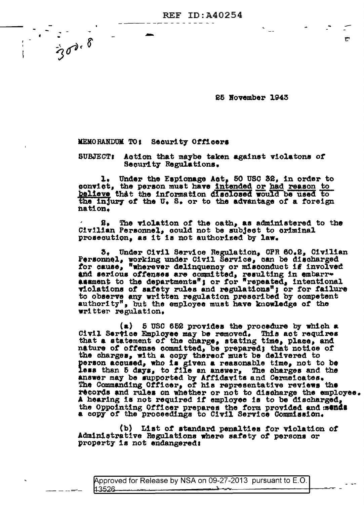**REF ID: A40254** 

25 November 1943

۳

MEMORANDUM TO: Security Officers

 $\frac{1}{300000}$ 

**SUBJECT:** Action that maybe taken against violatons of Security Regulations.

1. Under the Espionage Act, 50 USC 32, in order to convict, the person must have intended or had reason to believe that the information disclosed would be used to the injury of the U.S. or to the advantage of a foreign nation.

8. The violation of the oath, as administered to the Civilian Personnel, could not be subject to criminal prosecution, as it is not authorized by law.

5. Under Civil Service Regulation, CPR 60.2, Civilian<br>Personnel, working under Civil Service, can be discharged<br>for cause, "wherever delinquency or misconduct if involved and serious offenses are committed, resulting in embarr-<br>assment to the departments"; or for "repeated, intentional violations of safety rules and regulations"; or for failure to observe any written regulation prescribed by competent authority", but the employee must have knowledge of the writter regulation.

 $(a)$  5 USC 652 provides the procedure by which a Civil Service Employee may be removed. This act requires that a statement of the charge, stating time, place, and nature of offense committed, be prepared; that notice of the charges, with a copy thereof must be delivered to person acqused, who is given a reasonable time, not to be less than 5 days, to file an answer, The charges and the answer may be supported by Affidavits and Cermeicates. The Commanding Officer, of his representative reviews the records and rules on whether or not to discharge the employee.<br>A hearing is not required if employee is to be discharged, the Oppointing Officer prepares the form provided and mends a copy of the proceedings to Civil Service Commission.

(b) List of standard penalties for violation of Administrative Regulations where safety of persons or property is not endangered:

Approved for Release by NSA on 09-27-2013 pursuant to E.O. 13526